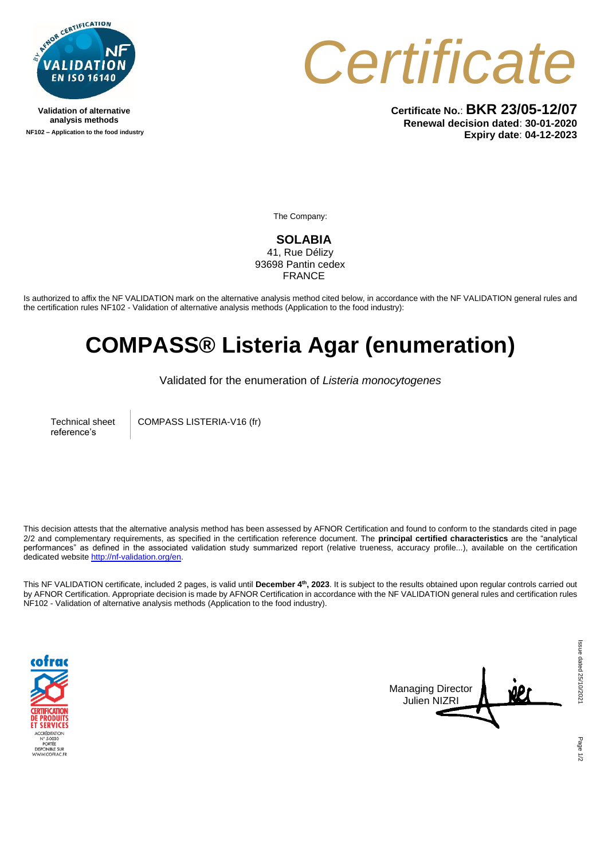

**Validation of alternative analysis methods NF102 – Application to the food industry** *Certificate*

**Certificate No.**: **BKR 23/05-12/07 Renewal decision dated**: **30-01-2020 Expiry date**: **04-12-2023**

The Company:

**SOLABIA**  41, Rue Délizy 93698 Pantin cedex

FRANCE

Is authorized to affix the NF VALIDATION mark on the alternative analysis method cited below, in accordance with the NF VALIDATION general rules and the certification rules NF102 - Validation of alternative analysis methods (Application to the food industry):

## **COMPASS® Listeria Agar (enumeration)**

Validated for the enumeration of *Listeria monocytogenes*

Technical sheet reference's

COMPASS LISTERIA-V16 (fr)

This decision attests that the alternative analysis method has been assessed by AFNOR Certification and found to conform to the standards cited in page 2/2 and complementary requirements, as specified in the certification reference document. The **principal certified characteristics** are the "analytical performances" as defined in the associated validation study summarized report (relative trueness, accuracy profile...), available on the certification dedicated websit[e http://nf-validation.org/en.](http://nf-validation.org/en)

This NF VALIDATION certificate, included 2 pages, is valid until **December 4th, 2023**. It is subject to the results obtained upon regular controls carried out by AFNOR Certification. Appropriate decision is made by AFNOR Certification in accordance with the NF VALIDATION general rules and certification rules NF102 - Validation of alternative analysis methods (Application to the food industry).





Page